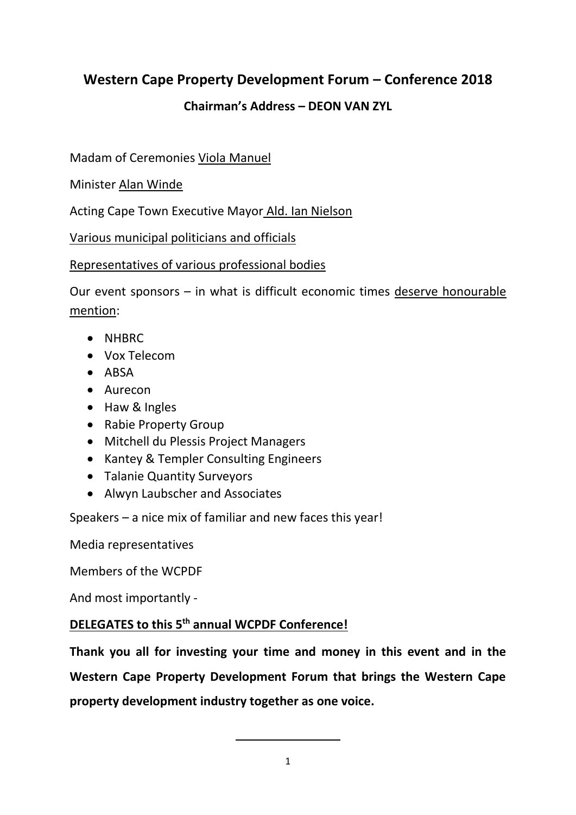# **Western Cape Property Development Forum – Conference 2018**

## **Chairman's Address – DEON VAN ZYL**

Madam of Ceremonies Viola Manuel

Minister Alan Winde

Acting Cape Town Executive Mayor Ald. Ian Nielson

Various municipal politicians and officials

#### Representatives of various professional bodies

Our event sponsors – in what is difficult economic times deserve honourable mention:

- NHBRC
- Vox Telecom
- ABSA
- Aurecon
- Haw & Ingles
- Rabie Property Group
- Mitchell du Plessis Project Managers
- Kantey & Templer Consulting Engineers
- Talanie Quantity Surveyors
- Alwyn Laubscher and Associates

Speakers – a nice mix of familiar and new faces this year!

Media representatives

Members of the WCPDF

And most importantly -

## **DELEGATES to this 5th annual WCPDF Conference!**

**Thank you all for investing your time and money in this event and in the Western Cape Property Development Forum that brings the Western Cape property development industry together as one voice.**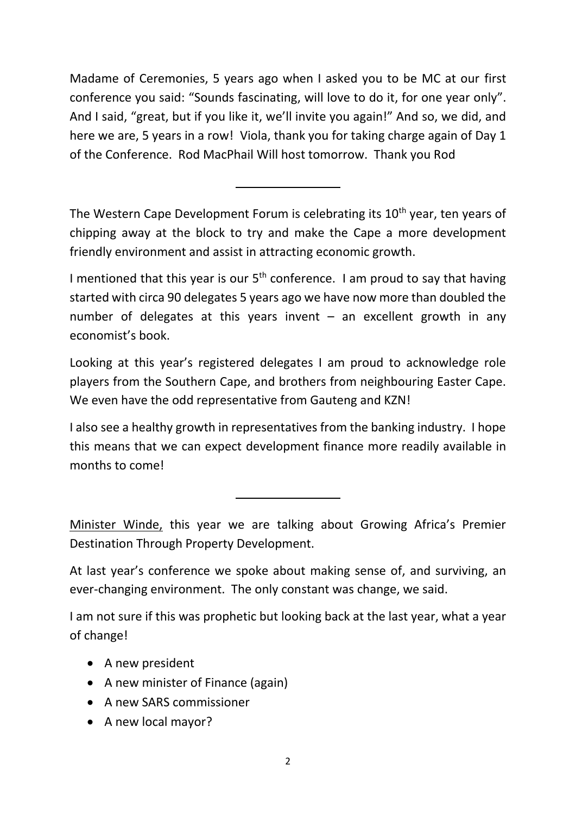Madame of Ceremonies, 5 years ago when I asked you to be MC at our first conference you said: "Sounds fascinating, will love to do it, for one year only". And I said, "great, but if you like it, we'll invite you again!" And so, we did, and here we are, 5 years in a row! Viola, thank you for taking charge again of Day 1 of the Conference. Rod MacPhail Will host tomorrow. Thank you Rod

The Western Cape Development Forum is celebrating its 10<sup>th</sup> year, ten years of chipping away at the block to try and make the Cape a more development friendly environment and assist in attracting economic growth.

I mentioned that this year is our  $5<sup>th</sup>$  conference. I am proud to say that having started with circa 90 delegates 5 years ago we have now more than doubled the number of delegates at this years invent  $-$  an excellent growth in any economist's book.

Looking at this year's registered delegates I am proud to acknowledge role players from the Southern Cape, and brothers from neighbouring Easter Cape. We even have the odd representative from Gauteng and KZN!

I also see a healthy growth in representatives from the banking industry. I hope this means that we can expect development finance more readily available in months to come!

Minister Winde, this year we are talking about Growing Africa's Premier Destination Through Property Development.

At last year's conference we spoke about making sense of, and surviving, an ever-changing environment. The only constant was change, we said.

I am not sure if this was prophetic but looking back at the last year, what a year of change!

- A new president
- A new minister of Finance (again)
- A new SARS commissioner
- A new local mayor?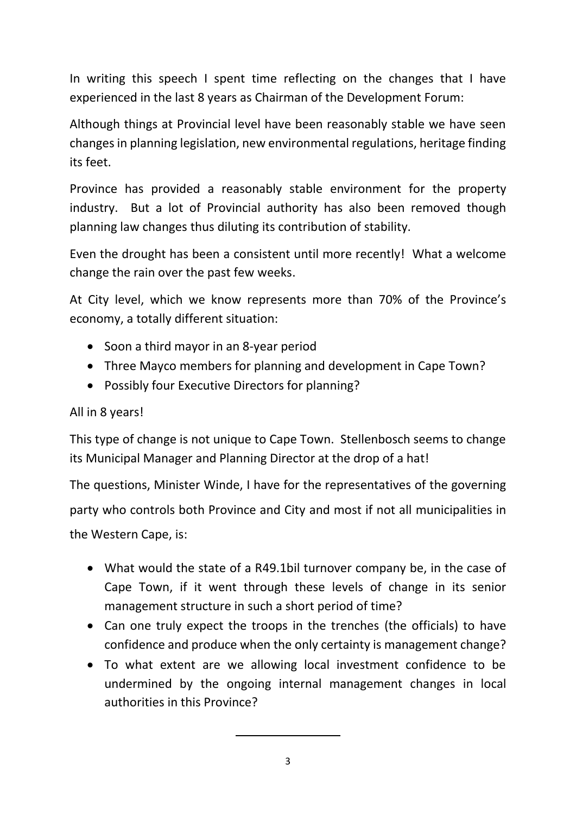In writing this speech I spent time reflecting on the changes that I have experienced in the last 8 years as Chairman of the Development Forum:

Although things at Provincial level have been reasonably stable we have seen changes in planning legislation, new environmental regulations, heritage finding its feet.

Province has provided a reasonably stable environment for the property industry. But a lot of Provincial authority has also been removed though planning law changes thus diluting its contribution of stability.

Even the drought has been a consistent until more recently! What a welcome change the rain over the past few weeks.

At City level, which we know represents more than 70% of the Province's economy, a totally different situation:

- Soon a third mayor in an 8-year period
- Three Mayco members for planning and development in Cape Town?
- Possibly four Executive Directors for planning?

## All in 8 years!

This type of change is not unique to Cape Town. Stellenbosch seems to change its Municipal Manager and Planning Director at the drop of a hat!

The questions, Minister Winde, I have for the representatives of the governing party who controls both Province and City and most if not all municipalities in the Western Cape, is:

- What would the state of a R49.1bil turnover company be, in the case of Cape Town, if it went through these levels of change in its senior management structure in such a short period of time?
- Can one truly expect the troops in the trenches (the officials) to have confidence and produce when the only certainty is management change?
- To what extent are we allowing local investment confidence to be undermined by the ongoing internal management changes in local authorities in this Province?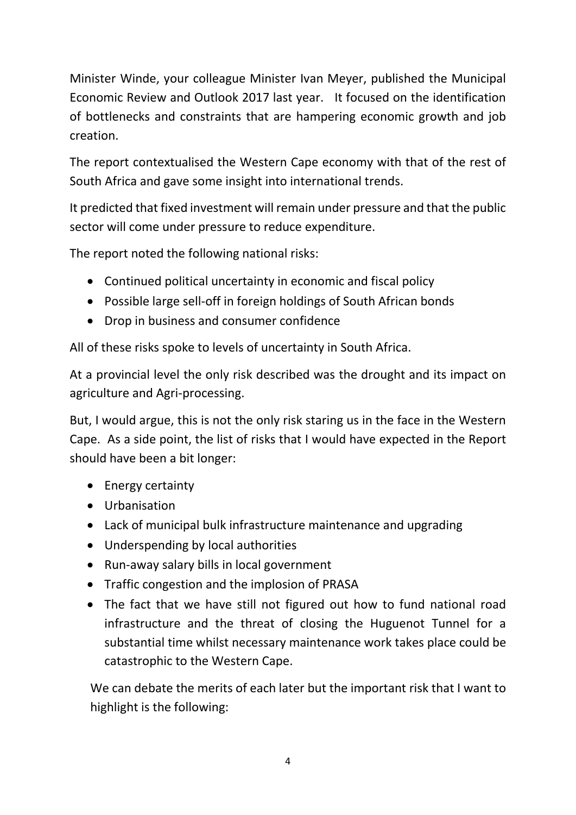Minister Winde, your colleague Minister Ivan Meyer, published the Municipal Economic Review and Outlook 2017 last year. It focused on the identification of bottlenecks and constraints that are hampering economic growth and job creation.

The report contextualised the Western Cape economy with that of the rest of South Africa and gave some insight into international trends.

It predicted that fixed investment will remain under pressure and that the public sector will come under pressure to reduce expenditure.

The report noted the following national risks:

- Continued political uncertainty in economic and fiscal policy
- Possible large sell-off in foreign holdings of South African bonds
- Drop in business and consumer confidence

All of these risks spoke to levels of uncertainty in South Africa.

At a provincial level the only risk described was the drought and its impact on agriculture and Agri-processing.

But, I would argue, this is not the only risk staring us in the face in the Western Cape. As a side point, the list of risks that I would have expected in the Report should have been a bit longer:

- Energy certainty
- Urbanisation
- Lack of municipal bulk infrastructure maintenance and upgrading
- Underspending by local authorities
- Run-away salary bills in local government
- Traffic congestion and the implosion of PRASA
- The fact that we have still not figured out how to fund national road infrastructure and the threat of closing the Huguenot Tunnel for a substantial time whilst necessary maintenance work takes place could be catastrophic to the Western Cape.

We can debate the merits of each later but the important risk that I want to highlight is the following: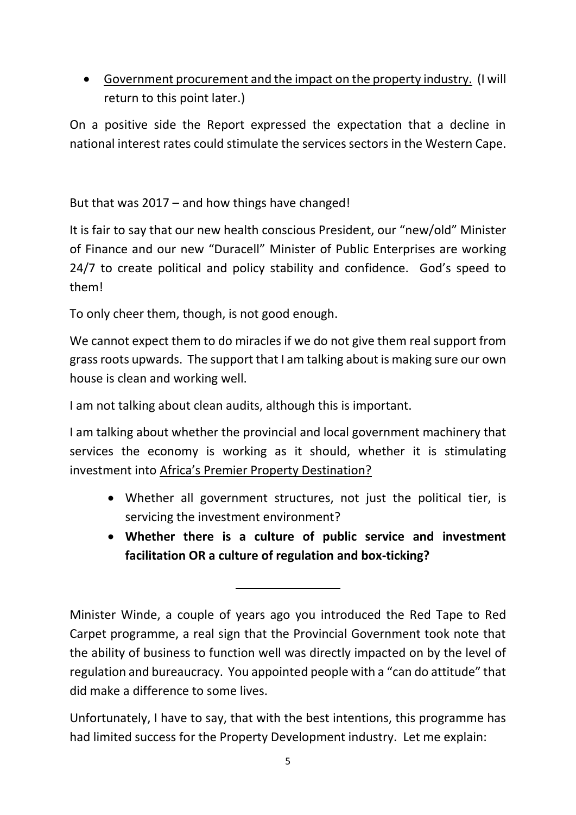• Government procurement and the impact on the property industry. (I will return to this point later.)

On a positive side the Report expressed the expectation that a decline in national interest rates could stimulate the services sectors in the Western Cape.

But that was  $2017 -$  and how things have changed!

It is fair to say that our new health conscious President, our "new/old" Minister of Finance and our new "Duracell" Minister of Public Enterprises are working 24/7 to create political and policy stability and confidence. God's speed to them!

To only cheer them, though, is not good enough.

We cannot expect them to do miracles if we do not give them real support from grass roots upwards. The support that I am talking about is making sure our own house is clean and working well.

I am not talking about clean audits, although this is important.

I am talking about whether the provincial and local government machinery that services the economy is working as it should, whether it is stimulating investment into Africa's Premier Property Destination?

- Whether all government structures, not just the political tier, is servicing the investment environment?
- **Whether there is a culture of public service and investment facilitation OR a culture of regulation and box-ticking?**

Unfortunately, I have to say, that with the best intentions, this programme has had limited success for the Property Development industry. Let me explain:

Minister Winde, a couple of years ago you introduced the Red Tape to Red Carpet programme, a real sign that the Provincial Government took note that the ability of business to function well was directly impacted on by the level of regulation and bureaucracy. You appointed people with a "can do attitude" that did make a difference to some lives.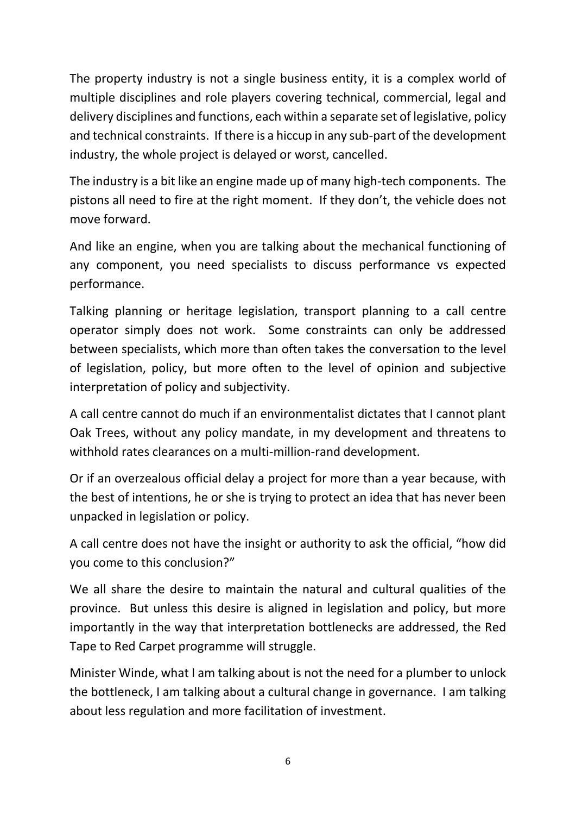The property industry is not a single business entity, it is a complex world of multiple disciplines and role players covering technical, commercial, legal and delivery disciplines and functions, each within a separate set of legislative, policy and technical constraints. If there is a hiccup in any sub-part of the development industry, the whole project is delayed or worst, cancelled.

The industry is a bit like an engine made up of many high-tech components. The pistons all need to fire at the right moment. If they don't, the vehicle does not move forward.

And like an engine, when you are talking about the mechanical functioning of any component, you need specialists to discuss performance vs expected performance.

Talking planning or heritage legislation, transport planning to a call centre operator simply does not work. Some constraints can only be addressed between specialists, which more than often takes the conversation to the level of legislation, policy, but more often to the level of opinion and subjective interpretation of policy and subjectivity.

A call centre cannot do much if an environmentalist dictates that I cannot plant Oak Trees, without any policy mandate, in my development and threatens to withhold rates clearances on a multi-million-rand development.

Or if an overzealous official delay a project for more than a year because, with the best of intentions, he or she is trying to protect an idea that has never been unpacked in legislation or policy.

A call centre does not have the insight or authority to ask the official, "how did you come to this conclusion?"

We all share the desire to maintain the natural and cultural qualities of the province. But unless this desire is aligned in legislation and policy, but more importantly in the way that interpretation bottlenecks are addressed, the Red Tape to Red Carpet programme will struggle.

Minister Winde, what I am talking about is not the need for a plumber to unlock the bottleneck, I am talking about a cultural change in governance. I am talking about less regulation and more facilitation of investment.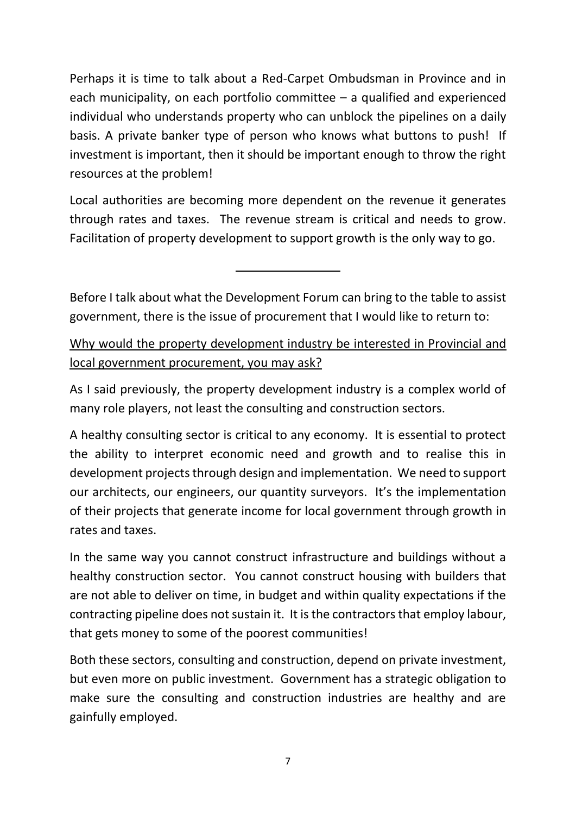Perhaps it is time to talk about a Red-Carpet Ombudsman in Province and in each municipality, on each portfolio committee – a qualified and experienced individual who understands property who can unblock the pipelines on a daily basis. A private banker type of person who knows what buttons to push! If investment is important, then it should be important enough to throw the right resources at the problem!

Local authorities are becoming more dependent on the revenue it generates through rates and taxes. The revenue stream is critical and needs to grow. Facilitation of property development to support growth is the only way to go.

Before I talk about what the Development Forum can bring to the table to assist government, there is the issue of procurement that I would like to return to:

Why would the property development industry be interested in Provincial and local government procurement, you may ask?

As I said previously, the property development industry is a complex world of many role players, not least the consulting and construction sectors.

A healthy consulting sector is critical to any economy. It is essential to protect the ability to interpret economic need and growth and to realise this in development projects through design and implementation. We need to support our architects, our engineers, our quantity surveyors. It's the implementation of their projects that generate income for local government through growth in rates and taxes.

In the same way you cannot construct infrastructure and buildings without a healthy construction sector. You cannot construct housing with builders that are not able to deliver on time, in budget and within quality expectations if the contracting pipeline does not sustain it. It is the contractors that employ labour, that gets money to some of the poorest communities!

Both these sectors, consulting and construction, depend on private investment, but even more on public investment. Government has a strategic obligation to make sure the consulting and construction industries are healthy and are gainfully employed.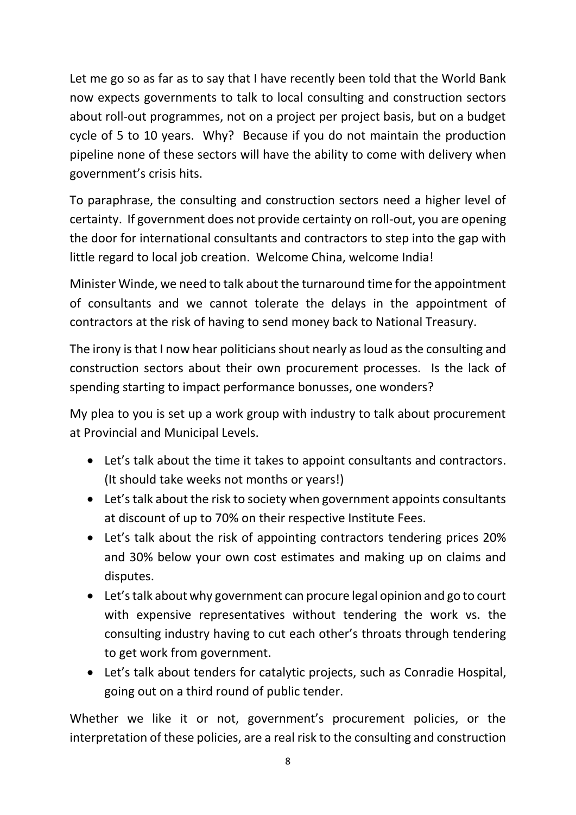Let me go so as far as to say that I have recently been told that the World Bank now expects governments to talk to local consulting and construction sectors about roll-out programmes, not on a project per project basis, but on a budget cycle of 5 to 10 years. Why? Because if you do not maintain the production pipeline none of these sectors will have the ability to come with delivery when government's crisis hits.

To paraphrase, the consulting and construction sectors need a higher level of certainty. If government does not provide certainty on roll-out, you are opening the door for international consultants and contractors to step into the gap with little regard to local job creation. Welcome China, welcome India!

Minister Winde, we need to talk about the turnaround time for the appointment of consultants and we cannot tolerate the delays in the appointment of contractors at the risk of having to send money back to National Treasury.

The irony is that I now hear politicians shout nearly as loud as the consulting and construction sectors about their own procurement processes. Is the lack of spending starting to impact performance bonusses, one wonders?

My plea to you is set up a work group with industry to talk about procurement at Provincial and Municipal Levels.

- Let's talk about the time it takes to appoint consultants and contractors. (It should take weeks not months or years!)
- Let's talk about the risk to society when government appoints consultants at discount of up to 70% on their respective Institute Fees.
- Let's talk about the risk of appointing contractors tendering prices 20% and 30% below your own cost estimates and making up on claims and disputes.
- Let's talk about why government can procure legal opinion and go to court with expensive representatives without tendering the work vs. the consulting industry having to cut each other's throats through tendering to get work from government.
- Let's talk about tenders for catalytic projects, such as Conradie Hospital, going out on a third round of public tender.

Whether we like it or not, government's procurement policies, or the interpretation of these policies, are a real risk to the consulting and construction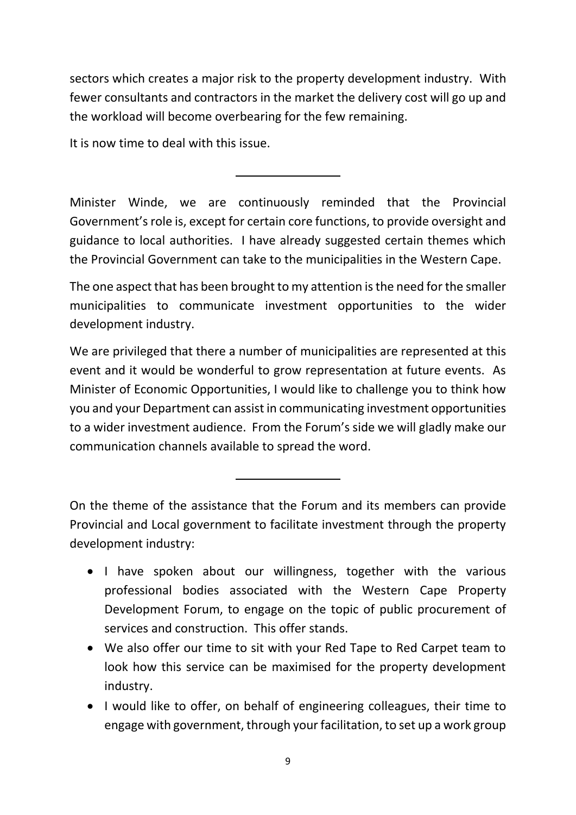sectors which creates a major risk to the property development industry. With fewer consultants and contractors in the market the delivery cost will go up and the workload will become overbearing for the few remaining.

It is now time to deal with this issue.

Minister Winde, we are continuously reminded that the Provincial Government's role is, except for certain core functions, to provide oversight and guidance to local authorities. I have already suggested certain themes which the Provincial Government can take to the municipalities in the Western Cape.

The one aspect that has been brought to my attention is the need for the smaller municipalities to communicate investment opportunities to the wider development industry.

We are privileged that there a number of municipalities are represented at this event and it would be wonderful to grow representation at future events. As Minister of Economic Opportunities, I would like to challenge you to think how you and your Department can assist in communicating investment opportunities to a wider investment audience. From the Forum's side we will gladly make our communication channels available to spread the word.

On the theme of the assistance that the Forum and its members can provide Provincial and Local government to facilitate investment through the property development industry:

- I have spoken about our willingness, together with the various professional bodies associated with the Western Cape Property Development Forum, to engage on the topic of public procurement of services and construction. This offer stands.
- We also offer our time to sit with your Red Tape to Red Carpet team to look how this service can be maximised for the property development industry.
- I would like to offer, on behalf of engineering colleagues, their time to engage with government, through your facilitation, to set up a work group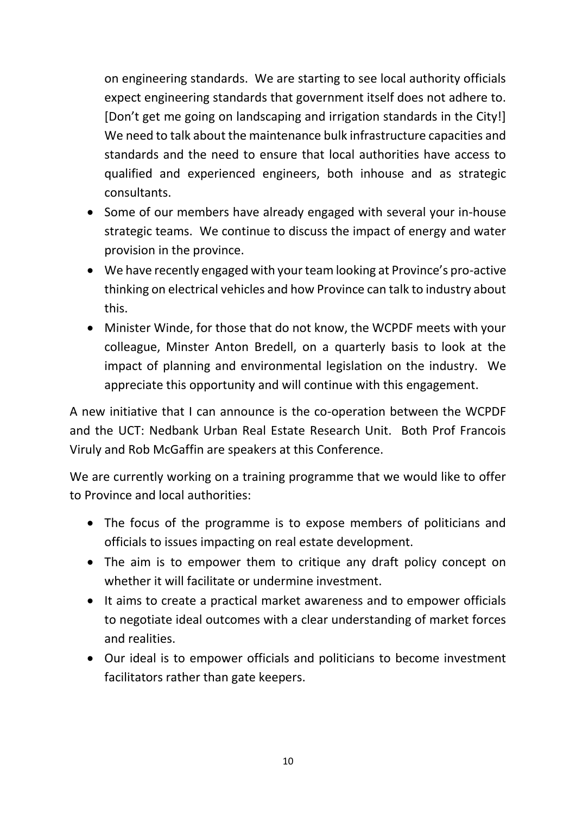on engineering standards. We are starting to see local authority officials expect engineering standards that government itself does not adhere to. [Don't get me going on landscaping and irrigation standards in the City!] We need to talk about the maintenance bulk infrastructure capacities and standards and the need to ensure that local authorities have access to qualified and experienced engineers, both inhouse and as strategic consultants.

- Some of our members have already engaged with several your in-house strategic teams. We continue to discuss the impact of energy and water provision in the province.
- We have recently engaged with your team looking at Province's pro-active thinking on electrical vehicles and how Province can talk to industry about this.
- Minister Winde, for those that do not know, the WCPDF meets with your colleague, Minster Anton Bredell, on a quarterly basis to look at the impact of planning and environmental legislation on the industry. We appreciate this opportunity and will continue with this engagement.

A new initiative that I can announce is the co-operation between the WCPDF and the UCT: Nedbank Urban Real Estate Research Unit. Both Prof Francois Viruly and Rob McGaffin are speakers at this Conference.

We are currently working on a training programme that we would like to offer to Province and local authorities:

- The focus of the programme is to expose members of politicians and officials to issues impacting on real estate development.
- The aim is to empower them to critique any draft policy concept on whether it will facilitate or undermine investment.
- It aims to create a practical market awareness and to empower officials to negotiate ideal outcomes with a clear understanding of market forces and realities.
- Our ideal is to empower officials and politicians to become investment facilitators rather than gate keepers.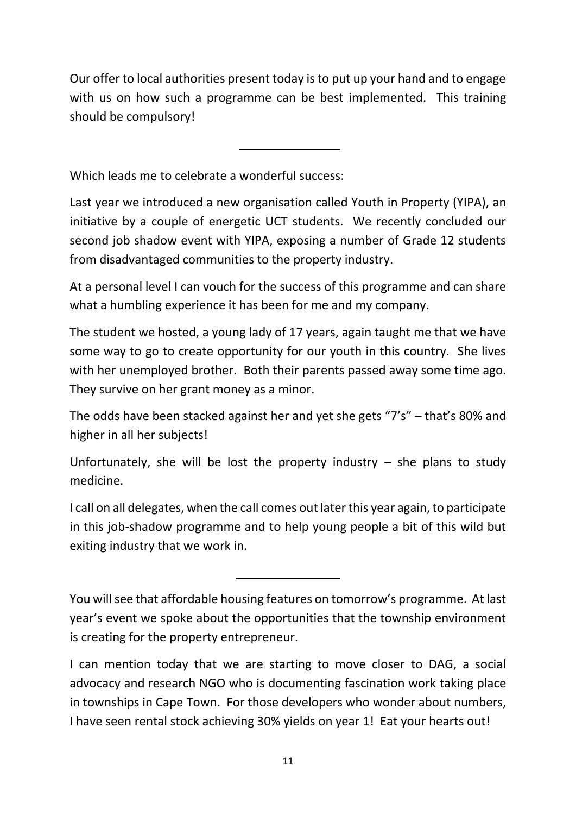Our offer to local authorities present today is to put up your hand and to engage with us on how such a programme can be best implemented. This training should be compulsory!

Which leads me to celebrate a wonderful success:

Last year we introduced a new organisation called Youth in Property (YIPA), an initiative by a couple of energetic UCT students. We recently concluded our second job shadow event with YIPA, exposing a number of Grade 12 students from disadvantaged communities to the property industry.

At a personal level I can vouch for the success of this programme and can share what a humbling experience it has been for me and my company.

The student we hosted, a young lady of 17 years, again taught me that we have some way to go to create opportunity for our youth in this country. She lives with her unemployed brother. Both their parents passed away some time ago. They survive on her grant money as a minor.

The odds have been stacked against her and yet she gets "7's" – that's 80% and higher in all her subjects!

Unfortunately, she will be lost the property industry  $-$  she plans to study medicine.

I call on all delegates, when the call comes out later this year again, to participate in this job-shadow programme and to help young people a bit of this wild but exiting industry that we work in.

You will see that affordable housing features on tomorrow's programme. At last year's event we spoke about the opportunities that the township environment is creating for the property entrepreneur.

I can mention today that we are starting to move closer to DAG, a social advocacy and research NGO who is documenting fascination work taking place in townships in Cape Town. For those developers who wonder about numbers, I have seen rental stock achieving 30% yields on year 1! Eat your hearts out!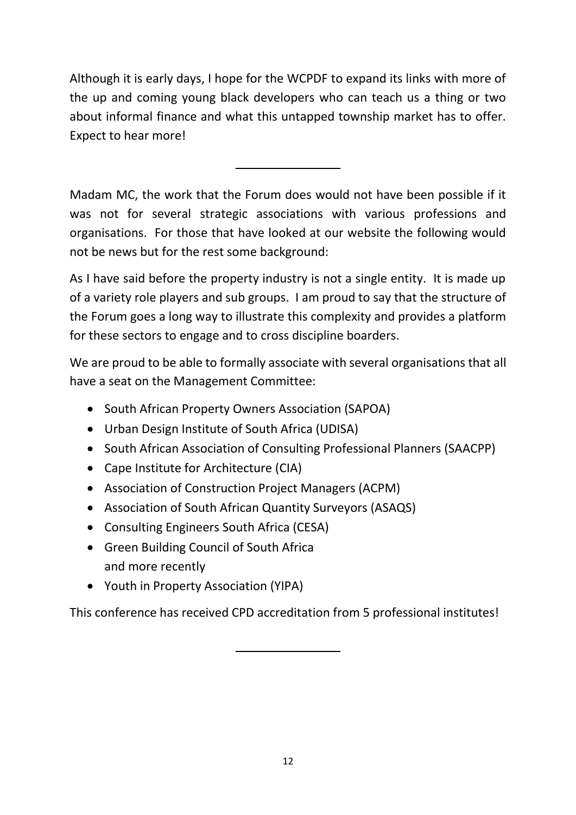Although it is early days, I hope for the WCPDF to expand its links with more of the up and coming young black developers who can teach us a thing or two about informal finance and what this untapped township market has to offer. Expect to hear more!

Madam MC, the work that the Forum does would not have been possible if it was not for several strategic associations with various professions and organisations. For those that have looked at our website the following would not be news but for the rest some background:

As I have said before the property industry is not a single entity. It is made up of a variety role players and sub groups. I am proud to say that the structure of the Forum goes a long way to illustrate this complexity and provides a platform for these sectors to engage and to cross discipline boarders.

We are proud to be able to formally associate with several organisations that all have a seat on the Management Committee:

- South African Property Owners Association (SAPOA)
- Urban Design Institute of South Africa (UDISA)
- South African Association of Consulting Professional Planners (SAACPP)
- Cape Institute for Architecture (CIA)
- Association of Construction Project Managers (ACPM)
- Association of South African Quantity Surveyors (ASAQS)
- Consulting Engineers South Africa (CESA)
- Green Building Council of South Africa and more recently
- Youth in Property Association (YIPA)

This conference has received CPD accreditation from 5 professional institutes!